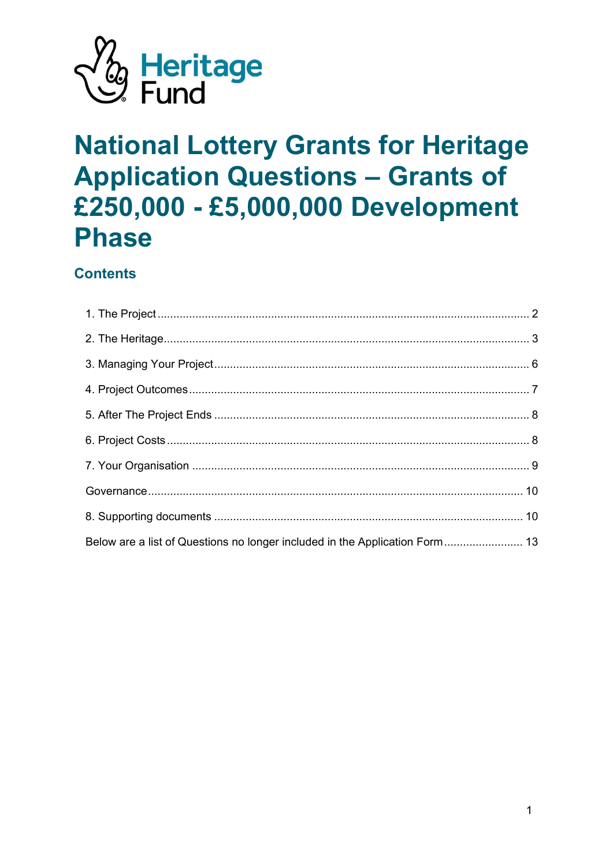

# **National Lottery Grants for Heritage Application Questions - Grants of** £250,000 - £5,000,000 Development **Phase**

# **Contents**

| Below are a list of Questions no longer included in the Application Form 13 |  |
|-----------------------------------------------------------------------------|--|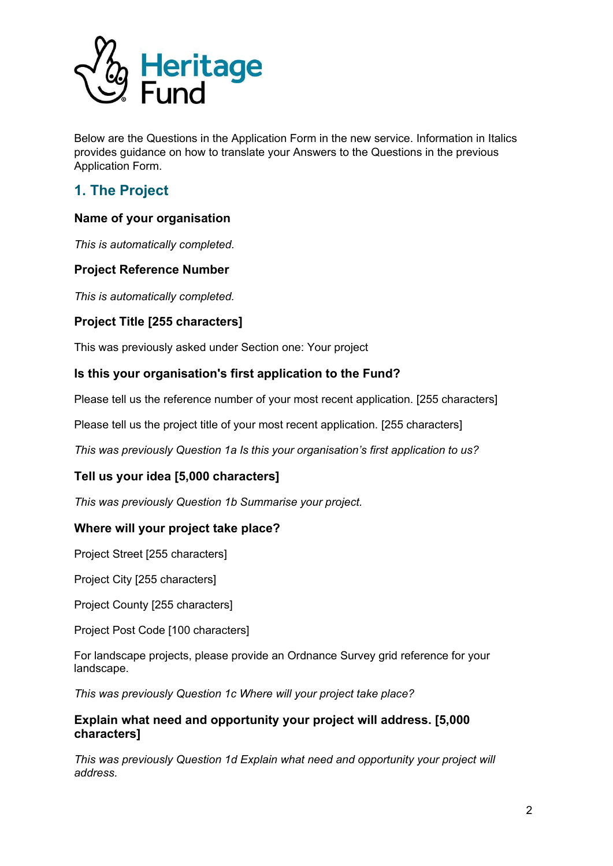

Below are the Questions in the Application Form in the new service. Information in Italics provides guidance on how to translate your Answers to the Questions in the previous Application Form.

# <span id="page-1-0"></span>**1. The Project**

# **Name of your organisation**

*This is automatically completed.*

# **Project Reference Number**

*This is automatically completed.*

# **Project Title [255 characters]**

This was previously asked under Section one: Your project

# **Is this your organisation's first application to the Fund?**

Please tell us the reference number of your most recent application. [255 characters]

Please tell us the project title of your most recent application. [255 characters]

*This was previously Question 1a Is this your organisation's first application to us?*

# **Tell us your idea [5,000 characters]**

*This was previously Question 1b Summarise your project.*

# **Where will your project take place?**

Project Street [255 characters]

Project City [255 characters]

Project County [255 characters]

Project Post Code [100 characters]

For landscape projects, please provide an Ordnance Survey grid reference for your landscape.

*This was previously Question 1c Where will your project take place?*

# **Explain what need and opportunity your project will address. [5,000 characters]**

*This was previously Question 1d Explain what need and opportunity your project will address.*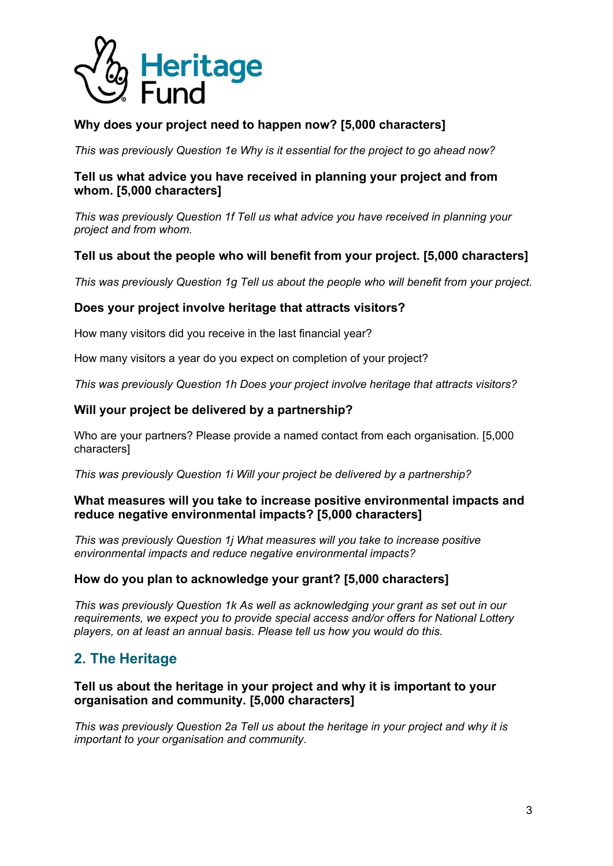

# **Why does your project need to happen now? [5,000 characters]**

*This was previously Question 1e Why is it essential for the project to go ahead now?*

# **Tell us what advice you have received in planning your project and from whom. [5,000 characters]**

*This was previously Question 1f Tell us what advice you have received in planning your project and from whom.*

# **Tell us about the people who will benefit from your project. [5,000 characters]**

*This was previously Question 1g Tell us about the people who will benefit from your project.*

# **Does your project involve heritage that attracts visitors?**

How many visitors did you receive in the last financial year?

How many visitors a year do you expect on completion of your project?

*This was previously Question 1h Does your project involve heritage that attracts visitors?*

# **Will your project be delivered by a partnership?**

Who are your partners? Please provide a named contact from each organisation. [5,000 characters]

*This was previously Question 1i Will your project be delivered by a partnership?*

# **What measures will you take to increase positive environmental impacts and reduce negative environmental impacts? [5,000 characters]**

*This was previously Question 1j What measures will you take to increase positive environmental impacts and reduce negative environmental impacts?*

# **How do you plan to acknowledge your grant? [5,000 characters]**

*This was previously Question 1k As well as acknowledging your grant as set out in our requirements, we expect you to provide special access and/or offers for National Lottery players, on at least an annual basis. Please tell us how you would do this.*

# <span id="page-2-0"></span>**2. The Heritage**

# **Tell us about the heritage in your project and why it is important to your organisation and community. [5,000 characters]**

*This was previously Question 2a Tell us about the heritage in your project and why it is important to your organisation and community.*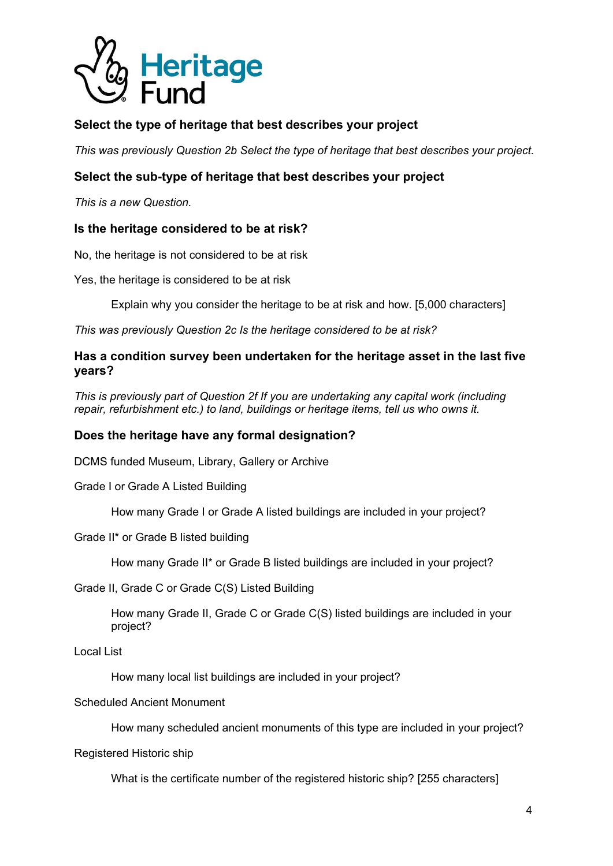

# **Select the type of heritage that best describes your project**

*This was previously Question 2b Select the type of heritage that best describes your project.*

# **Select the sub-type of heritage that best describes your project**

*This is a new Question.*

# **Is the heritage considered to be at risk?**

No, the heritage is not considered to be at risk

Yes, the heritage is considered to be at risk

Explain why you consider the heritage to be at risk and how. [5,000 characters]

*This was previously Question 2c Is the heritage considered to be at risk?*

### **Has a condition survey been undertaken for the heritage asset in the last five years?**

*This is previously part of Question 2f If you are undertaking any capital work (including repair, refurbishment etc.) to land, buildings or heritage items, tell us who owns it.*

# **Does the heritage have any formal designation?**

DCMS funded Museum, Library, Gallery or Archive

Grade I or Grade A Listed Building

How many Grade I or Grade A listed buildings are included in your project?

Grade II\* or Grade B listed building

How many Grade II\* or Grade B listed buildings are included in your project?

Grade II, Grade C or Grade C(S) Listed Building

How many Grade II, Grade C or Grade C(S) listed buildings are included in your project?

Local List

How many local list buildings are included in your project?

#### Scheduled Ancient Monument

How many scheduled ancient monuments of this type are included in your project?

Registered Historic ship

What is the certificate number of the registered historic ship? [255 characters]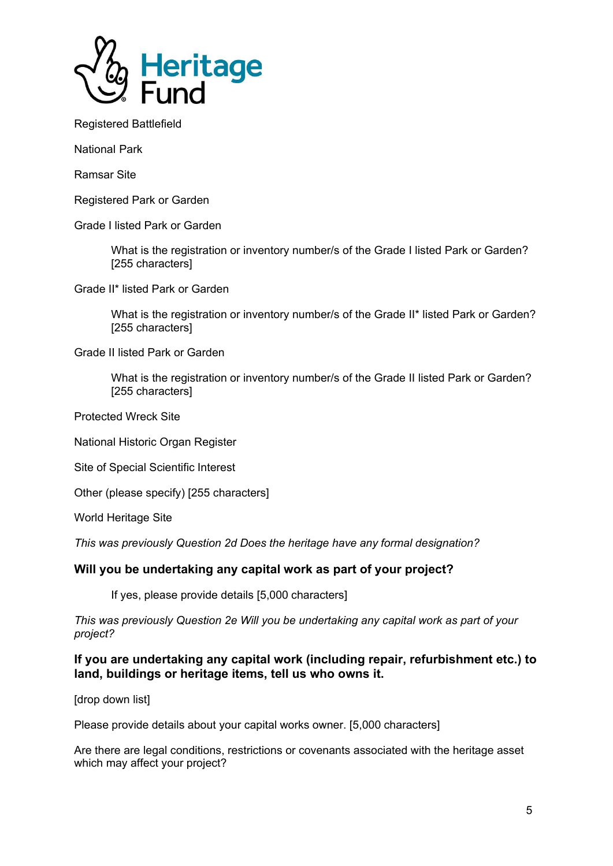

Registered Battlefield

National Park

Ramsar Site

Registered Park or Garden

Grade I listed Park or Garden

What is the registration or inventory number/s of the Grade I listed Park or Garden? [255 characters]

Grade II\* listed Park or Garden

What is the registration or inventory number/s of the Grade II\* listed Park or Garden? [255 characters]

Grade II listed Park or Garden

What is the registration or inventory number/s of the Grade II listed Park or Garden? [255 characters]

Protected Wreck Site

National Historic Organ Register

Site of Special Scientific Interest

Other (please specify) [255 characters]

World Heritage Site

*This was previously Question 2d Does the heritage have any formal designation?*

#### **Will you be undertaking any capital work as part of your project?**

If yes, please provide details [5,000 characters]

*This was previously Question 2e Will you be undertaking any capital work as part of your project?*

**If you are undertaking any capital work (including repair, refurbishment etc.) to land, buildings or heritage items, tell us who owns it.**

[drop down list]

Please provide details about your capital works owner. [5,000 characters]

Are there are legal conditions, restrictions or covenants associated with the heritage asset which may affect your project?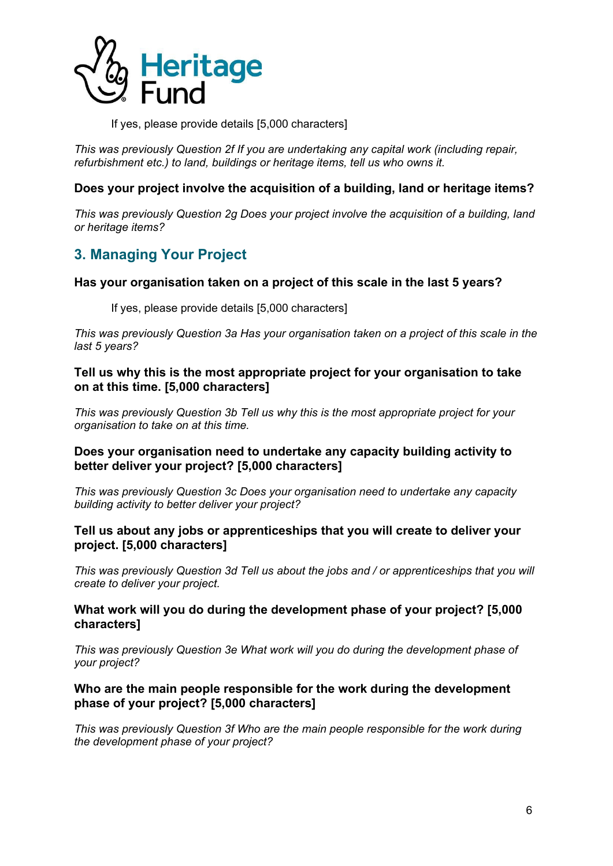

If yes, please provide details [5,000 characters]

*This was previously Question 2f If you are undertaking any capital work (including repair, refurbishment etc.) to land, buildings or heritage items, tell us who owns it.*

### **Does your project involve the acquisition of a building, land or heritage items?**

*This was previously Question 2g Does your project involve the acquisition of a building, land or heritage items?*

# <span id="page-5-0"></span>**3. Managing Your Project**

#### **Has your organisation taken on a project of this scale in the last 5 years?**

If yes, please provide details [5,000 characters]

*This was previously Question 3a Has your organisation taken on a project of this scale in the last 5 years?*

**Tell us why this is the most appropriate project for your organisation to take on at this time. [5,000 characters]**

*This was previously Question 3b Tell us why this is the most appropriate project for your organisation to take on at this time.*

#### **Does your organisation need to undertake any capacity building activity to better deliver your project? [5,000 characters]**

*This was previously Question 3c Does your organisation need to undertake any capacity building activity to better deliver your project?*

#### **Tell us about any jobs or apprenticeships that you will create to deliver your project. [5,000 characters]**

*This was previously Question 3d Tell us about the jobs and / or apprenticeships that you will create to deliver your project.*

#### **What work will you do during the development phase of your project? [5,000 characters]**

*This was previously Question 3e What work will you do during the development phase of your project?*

#### **Who are the main people responsible for the work during the development phase of your project? [5,000 characters]**

*This was previously Question 3f Who are the main people responsible for the work during the development phase of your project?*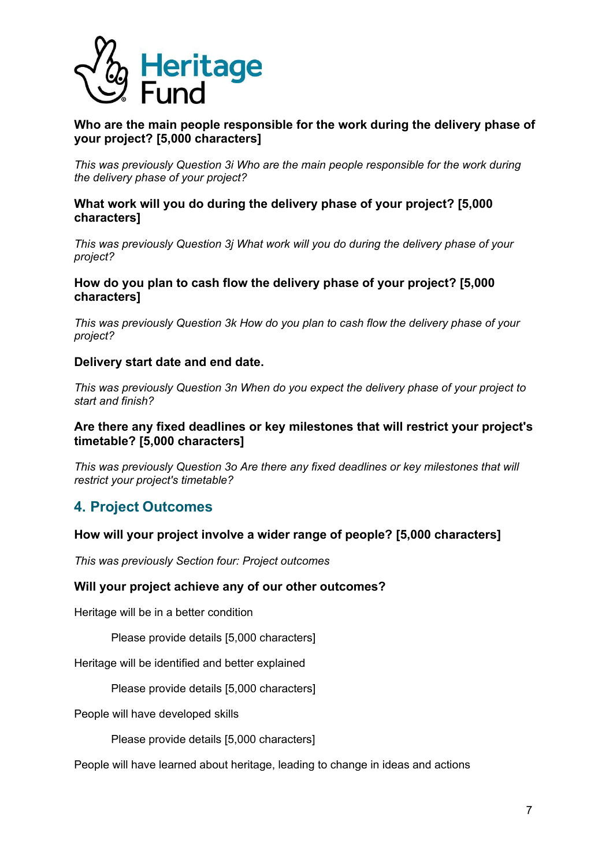

# **Who are the main people responsible for the work during the delivery phase of your project? [5,000 characters]**

*This was previously Question 3i Who are the main people responsible for the work during the delivery phase of your project?*

#### **What work will you do during the delivery phase of your project? [5,000 characters]**

*This was previously Question 3j What work will you do during the delivery phase of your project?*

# **How do you plan to cash flow the delivery phase of your project? [5,000 characters]**

*This was previously Question 3k How do you plan to cash flow the delivery phase of your project?*

#### **Delivery start date and end date.**

*This was previously Question 3n When do you expect the delivery phase of your project to start and finish?*

# **Are there any fixed deadlines or key milestones that will restrict your project's timetable? [5,000 characters]**

*This was previously Question 3o Are there any fixed deadlines or key milestones that will restrict your project's timetable?*

# <span id="page-6-0"></span>**4. Project Outcomes**

# **How will your project involve a wider range of people? [5,000 characters]**

*This was previously Section four: Project outcomes*

#### **Will your project achieve any of our other outcomes?**

Heritage will be in a better condition

Please provide details [5,000 characters]

Heritage will be identified and better explained

Please provide details [5,000 characters]

People will have developed skills

Please provide details [5,000 characters]

People will have learned about heritage, leading to change in ideas and actions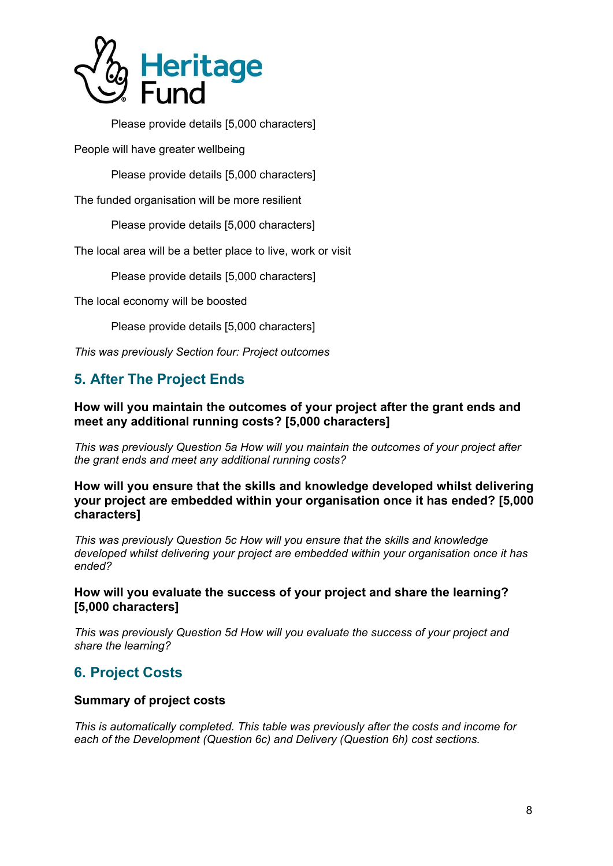

Please provide details [5,000 characters]

People will have greater wellbeing

Please provide details [5,000 characters]

The funded organisation will be more resilient

Please provide details [5,000 characters]

The local area will be a better place to live, work or visit

Please provide details [5,000 characters]

The local economy will be boosted

Please provide details [5,000 characters]

*This was previously Section four: Project outcomes*

# <span id="page-7-0"></span>**5. After The Project Ends**

# **How will you maintain the outcomes of your project after the grant ends and meet any additional running costs? [5,000 characters]**

*This was previously Question 5a How will you maintain the outcomes of your project after the grant ends and meet any additional running costs?*

**How will you ensure that the skills and knowledge developed whilst delivering your project are embedded within your organisation once it has ended? [5,000 characters]**

*This was previously Question 5c How will you ensure that the skills and knowledge developed whilst delivering your project are embedded within your organisation once it has ended?*

#### **How will you evaluate the success of your project and share the learning? [5,000 characters]**

*This was previously Question 5d How will you evaluate the success of your project and share the learning?*

# <span id="page-7-1"></span>**6. Project Costs**

#### **Summary of project costs**

*This is automatically completed. This table was previously after the costs and income for each of the Development (Question 6c) and Delivery (Question 6h) cost sections.*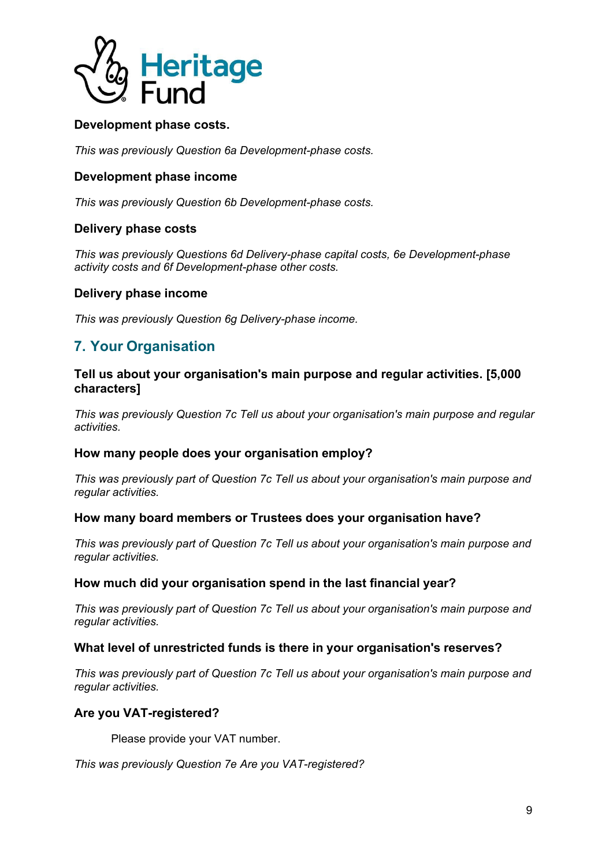

# **Development phase costs.**

*This was previously Question 6a Development-phase costs.*

#### **Development phase income**

*This was previously Question 6b Development-phase costs.*

#### **Delivery phase costs**

*This was previously Questions 6d Delivery-phase capital costs, 6e Development-phase activity costs and 6f Development-phase other costs.*

#### **Delivery phase income**

*This was previously Question 6g Delivery-phase income.*

# <span id="page-8-0"></span>**7. Your Organisation**

#### **Tell us about your organisation's main purpose and regular activities. [5,000 characters]**

*This was previously Question 7c Tell us about your organisation's main purpose and regular activities.*

#### **How many people does your organisation employ?**

*This was previously part of Question 7c Tell us about your organisation's main purpose and regular activities.*

#### **How many board members or Trustees does your organisation have?**

*This was previously part of Question 7c Tell us about your organisation's main purpose and regular activities.*

#### **How much did your organisation spend in the last financial year?**

*This was previously part of Question 7c Tell us about your organisation's main purpose and regular activities.*

#### **What level of unrestricted funds is there in your organisation's reserves?**

*This was previously part of Question 7c Tell us about your organisation's main purpose and regular activities.*

#### **Are you VAT-registered?**

Please provide your VAT number.

*This was previously Question 7e Are you VAT-registered?*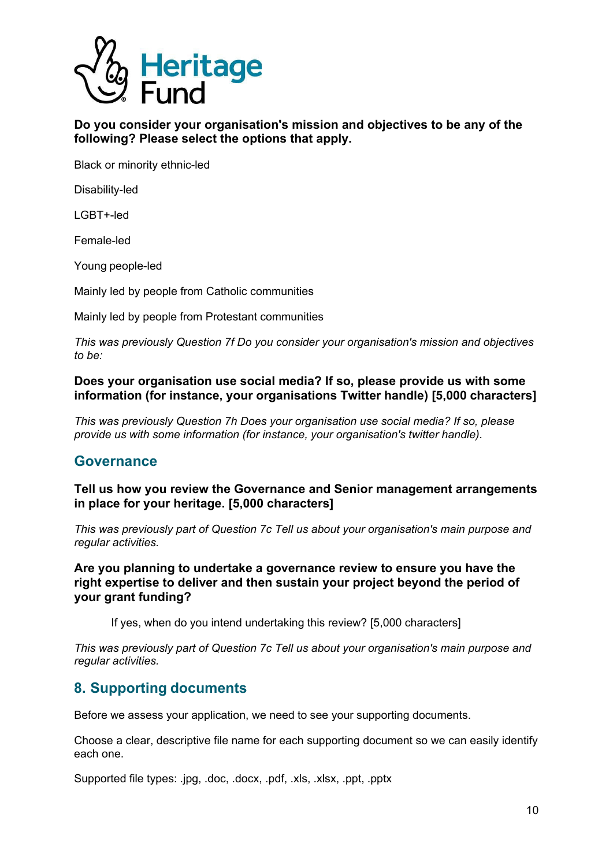

**Do you consider your organisation's mission and objectives to be any of the following? Please select the options that apply.**

Black or minority ethnic-led

Disability-led

LGBT+-led

Female-led

Young people-led

Mainly led by people from Catholic communities

Mainly led by people from Protestant communities

*This was previously Question 7f Do you consider your organisation's mission and objectives to be:*

**Does your organisation use social media? If so, please provide us with some information (for instance, your organisations Twitter handle) [5,000 characters]**

*This was previously Question 7h Does your organisation use social media? If so, please provide us with some information (for instance, your organisation's twitter handle).*

# <span id="page-9-0"></span>**Governance**

**Tell us how you review the Governance and Senior management arrangements in place for your heritage. [5,000 characters]**

*This was previously part of Question 7c Tell us about your organisation's main purpose and regular activities.*

**Are you planning to undertake a governance review to ensure you have the right expertise to deliver and then sustain your project beyond the period of your grant funding?**

If yes, when do you intend undertaking this review? [5,000 characters]

*This was previously part of Question 7c Tell us about your organisation's main purpose and regular activities.*

# <span id="page-9-1"></span>**8. Supporting documents**

Before we assess your application, we need to see your supporting documents.

Choose a clear, descriptive file name for each supporting document so we can easily identify each one.

Supported file types: .jpg, .doc, .docx, .pdf, .xls, .xlsx, .ppt, .pptx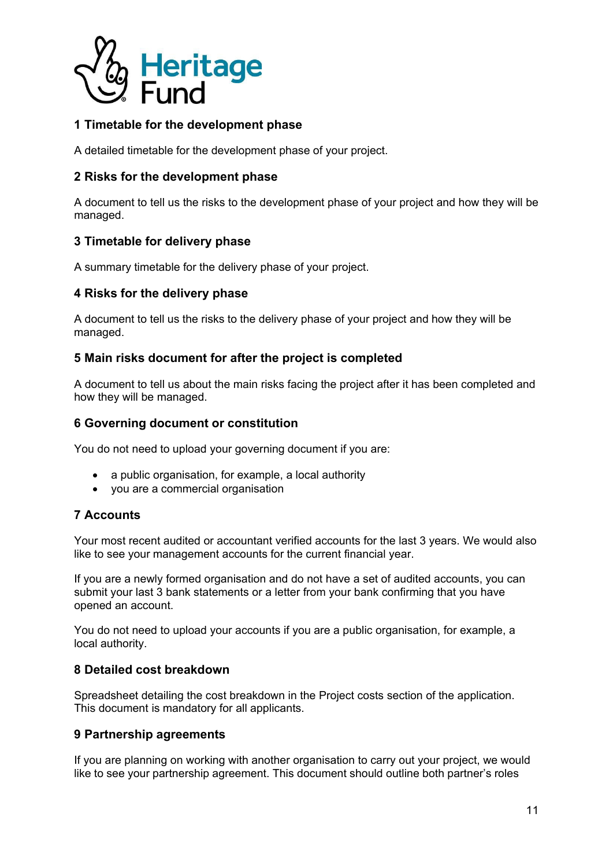

# **1 Timetable for the development phase**

A detailed timetable for the development phase of your project.

# **2 Risks for the development phase**

A document to tell us the risks to the development phase of your project and how they will be managed.

#### **3 Timetable for delivery phase**

A summary timetable for the delivery phase of your project.

#### **4 Risks for the delivery phase**

A document to tell us the risks to the delivery phase of your project and how they will be managed.

#### **5 Main risks document for after the project is completed**

A document to tell us about the main risks facing the project after it has been completed and how they will be managed.

#### **6 Governing document or constitution**

You do not need to upload your governing document if you are:

- a public organisation, for example, a local authority
- you are a commercial organisation

# **7 Accounts**

Your most recent audited or accountant verified accounts for the last 3 years. We would also like to see your management accounts for the current financial year.

If you are a newly formed organisation and do not have a set of audited accounts, you can submit your last 3 bank statements or a letter from your bank confirming that you have opened an account.

You do not need to upload your accounts if you are a public organisation, for example, a local authority.

#### **8 Detailed cost breakdown**

Spreadsheet detailing the cost breakdown in the Project costs section of the application. This document is mandatory for all applicants.

#### **9 Partnership agreements**

If you are planning on working with another organisation to carry out your project, we would like to see your partnership agreement. This document should outline both partner's roles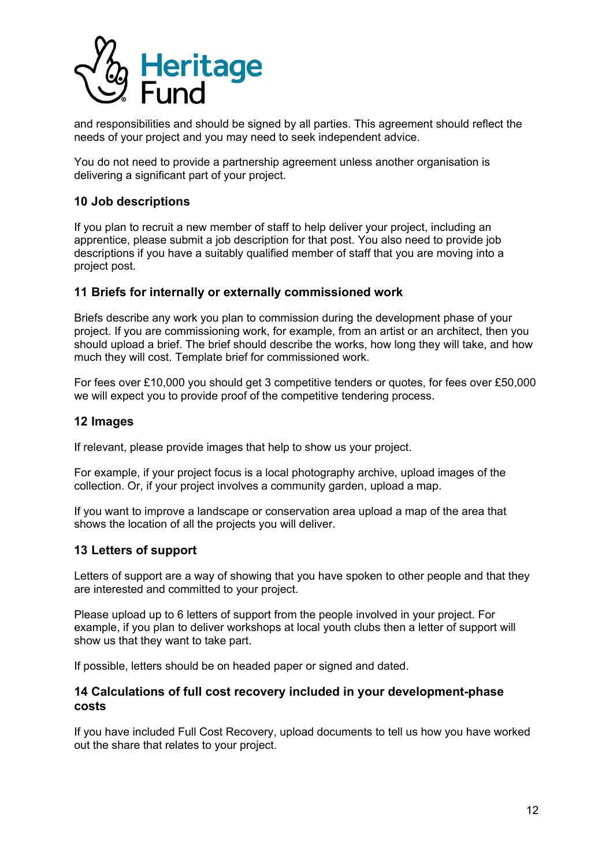

and responsibilities and should be signed by all parties. This agreement should reflect the needs of your project and you may need to seek independent advice.

You do not need to provide a partnership agreement unless another organisation is delivering a significant part of your project.

#### **10 Job descriptions**

If you plan to recruit a new member of staff to help deliver your project, including an apprentice, please submit a job description for that post. You also need to provide job descriptions if you have a suitably qualified member of staff that you are moving into a project post.

#### **11 Briefs for internally or externally commissioned work**

Briefs describe any work you plan to commission during the development phase of your project. If you are commissioning work, for example, from an artist or an architect, then you should upload a brief. The brief should describe the works, how long they will take, and how much they will cost. Template brief for commissioned work.

For fees over £10,000 you should get 3 competitive tenders or quotes, for fees over £50,000 we will expect you to provide proof of the competitive tendering process.

#### **12 Images**

If relevant, please provide images that help to show us your project.

For example, if your project focus is a local photography archive, upload images of the collection. Or, if your project involves a community garden, upload a map.

If you want to improve a landscape or conservation area upload a map of the area that shows the location of all the projects you will deliver.

#### **13 Letters of support**

Letters of support are a way of showing that you have spoken to other people and that they are interested and committed to your project.

Please upload up to 6 letters of support from the people involved in your project. For example, if you plan to deliver workshops at local youth clubs then a letter of support will show us that they want to take part.

If possible, letters should be on headed paper or signed and dated.

#### **14 Calculations of full cost recovery included in your development-phase costs**

If you have included Full Cost Recovery, upload documents to tell us how you have worked out the share that relates to your project.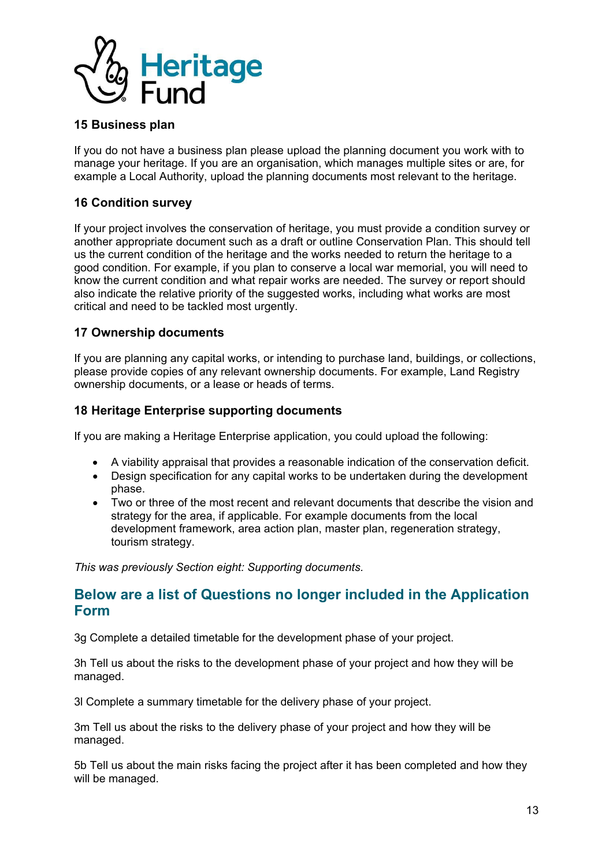

### **15 Business plan**

If you do not have a business plan please upload the planning document you work with to manage your heritage. If you are an organisation, which manages multiple sites or are, for example a Local Authority, upload the planning documents most relevant to the heritage.

# **16 Condition survey**

If your project involves the conservation of heritage, you must provide a condition survey or another appropriate document such as a draft or outline Conservation Plan. This should tell us the current condition of the heritage and the works needed to return the heritage to a good condition. For example, if you plan to conserve a local war memorial, you will need to know the current condition and what repair works are needed. The survey or report should also indicate the relative priority of the suggested works, including what works are most critical and need to be tackled most urgently.

# **17 Ownership documents**

If you are planning any capital works, or intending to purchase land, buildings, or collections, please provide copies of any relevant ownership documents. For example, Land Registry ownership documents, or a lease or heads of terms.

#### **18 Heritage Enterprise supporting documents**

If you are making a Heritage Enterprise application, you could upload the following:

- A viability appraisal that provides a reasonable indication of the conservation deficit.
- Design specification for any capital works to be undertaken during the development phase.
- Two or three of the most recent and relevant documents that describe the vision and strategy for the area, if applicable. For example documents from the local development framework, area action plan, master plan, regeneration strategy, tourism strategy.

*This was previously Section eight: Supporting documents.*

# <span id="page-12-0"></span>**Below are a list of Questions no longer included in the Application Form**

3g Complete a detailed timetable for the development phase of your project.

3h Tell us about the risks to the development phase of your project and how they will be managed.

3l Complete a summary timetable for the delivery phase of your project.

3m Tell us about the risks to the delivery phase of your project and how they will be managed.

5b Tell us about the main risks facing the project after it has been completed and how they will be managed.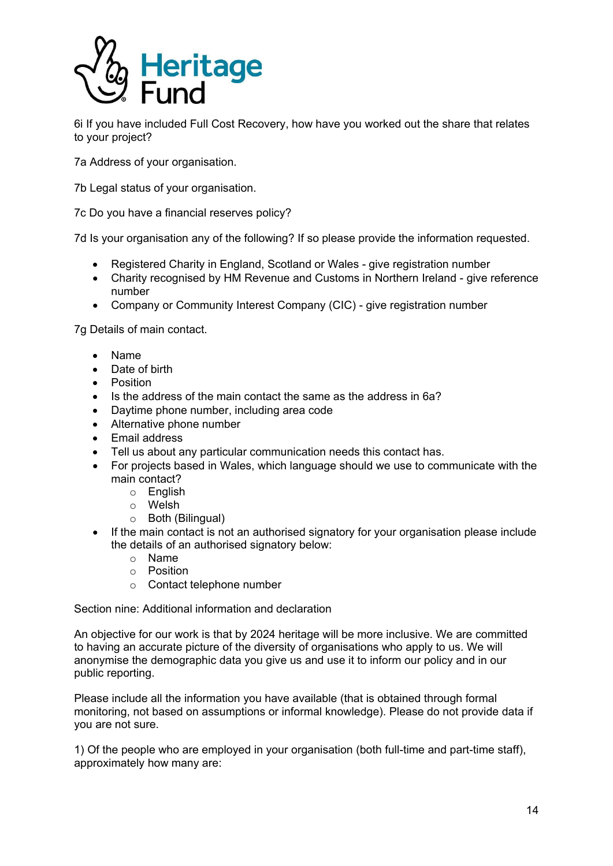

6i If you have included Full Cost Recovery, how have you worked out the share that relates to your project?

7a Address of your organisation.

7b Legal status of your organisation.

7c Do you have a financial reserves policy?

7d Is your organisation any of the following? If so please provide the information requested.

- Registered Charity in England, Scotland or Wales give registration number
- Charity recognised by HM Revenue and Customs in Northern Ireland give reference number
- Company or Community Interest Company (CIC) give registration number

7g Details of main contact.

- Name
- Date of birth
- Position
- Is the address of the main contact the same as the address in 6a?
- Daytime phone number, including area code
- Alternative phone number
- Email address
- Tell us about any particular communication needs this contact has.
- For projects based in Wales, which language should we use to communicate with the main contact?
	- o English
	- o Welsh
	- o Both (Bilingual)
- If the main contact is not an authorised signatory for your organisation please include the details of an authorised signatory below:
	- o Name
	- o Position
	- o Contact telephone number

Section nine: Additional information and declaration

An objective for our work is that by 2024 heritage will be more inclusive. We are committed to having an accurate picture of the diversity of organisations who apply to us. We will anonymise the demographic data you give us and use it to inform our policy and in our public reporting.

Please include all the information you have available (that is obtained through formal monitoring, not based on assumptions or informal knowledge). Please do not provide data if you are not sure.

1) Of the people who are employed in your organisation (both full-time and part-time staff), approximately how many are: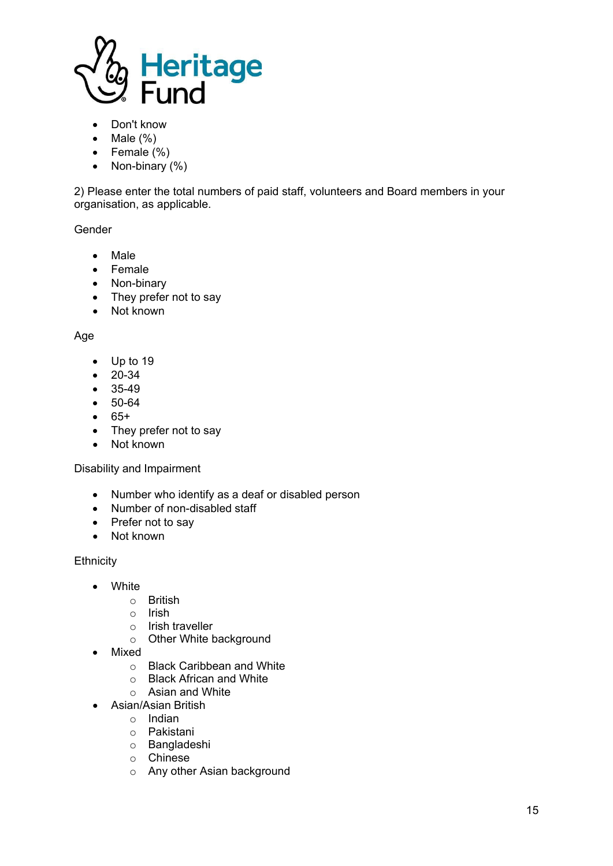

- Don't know
- Male  $(\%)$
- Female (%)
- Non-binary (%)

2) Please enter the total numbers of paid staff, volunteers and Board members in your organisation, as applicable.

Gender

- Male
- Female
- Non-binary
- They prefer not to say
- Not known

#### Age

- Up to 19
- 20-34
- 35-49
- 50-64
- 65+
- They prefer not to say
- Not known

#### Disability and Impairment

- Number who identify as a deaf or disabled person
- Number of non-disabled staff
- Prefer not to say
- Not known

#### **Ethnicity**

- White
	- o British
	- o Irish
	- o Irish traveller
	- o Other White background
- Mixed
	- $\circ$  Black Caribbean and White  $\circ$  Black African and White
	- **Black African and White**
	- o Asian and White
- Asian/Asian British
	- o Indian
	- o Pakistani
	- o Bangladeshi
	- o Chinese
	- o Any other Asian background